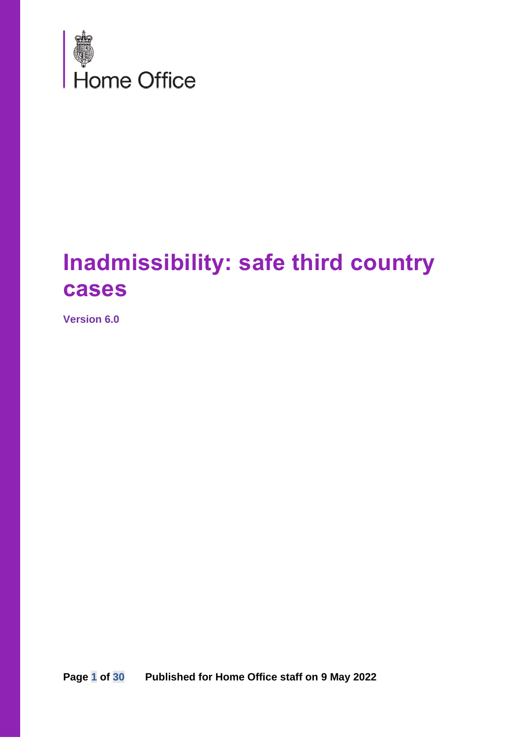

## **Inadmissibility: safe third country cases**

**Version 6.0**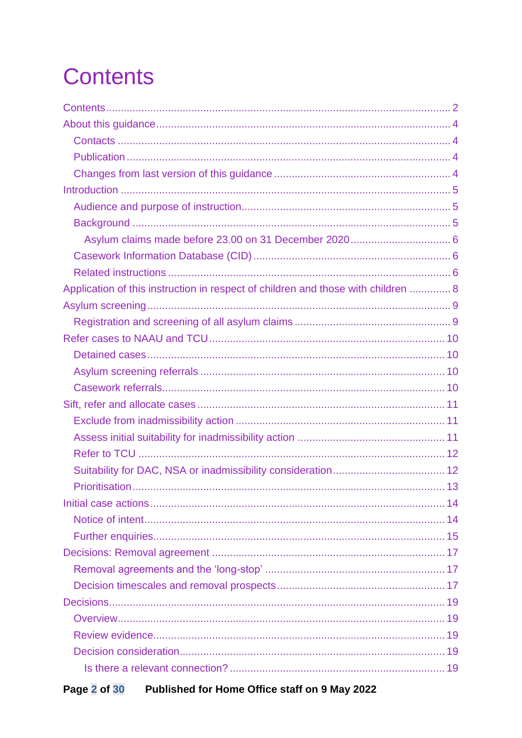# <span id="page-1-0"></span>**Contents**

| Application of this instruction in respect of children and those with children  8 |  |
|-----------------------------------------------------------------------------------|--|
|                                                                                   |  |
|                                                                                   |  |
|                                                                                   |  |
|                                                                                   |  |
|                                                                                   |  |
|                                                                                   |  |
|                                                                                   |  |
|                                                                                   |  |
|                                                                                   |  |
|                                                                                   |  |
|                                                                                   |  |
|                                                                                   |  |
|                                                                                   |  |
|                                                                                   |  |
|                                                                                   |  |
|                                                                                   |  |
|                                                                                   |  |
|                                                                                   |  |
|                                                                                   |  |
|                                                                                   |  |
|                                                                                   |  |
|                                                                                   |  |
|                                                                                   |  |
|                                                                                   |  |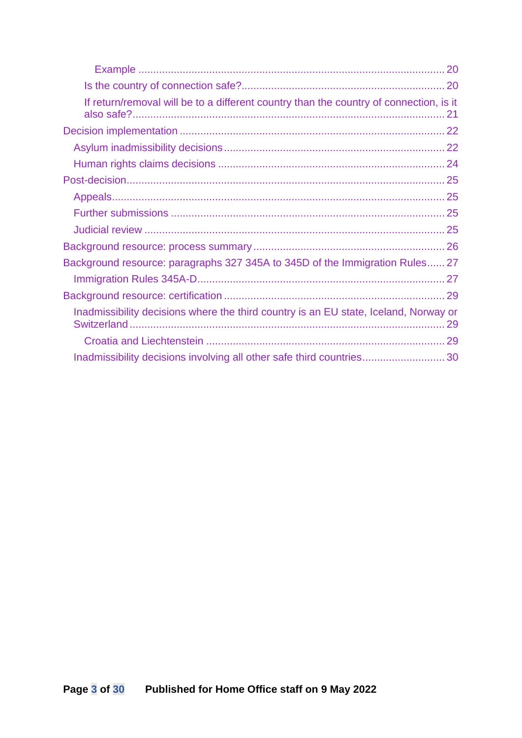| If return/removal will be to a different country than the country of connection, is it |
|----------------------------------------------------------------------------------------|
|                                                                                        |
|                                                                                        |
|                                                                                        |
|                                                                                        |
|                                                                                        |
|                                                                                        |
|                                                                                        |
|                                                                                        |
| Background resource: paragraphs 327 345A to 345D of the Immigration Rules 27           |
|                                                                                        |
|                                                                                        |
| Inadmissibility decisions where the third country is an EU state, Iceland, Norway or   |
|                                                                                        |
|                                                                                        |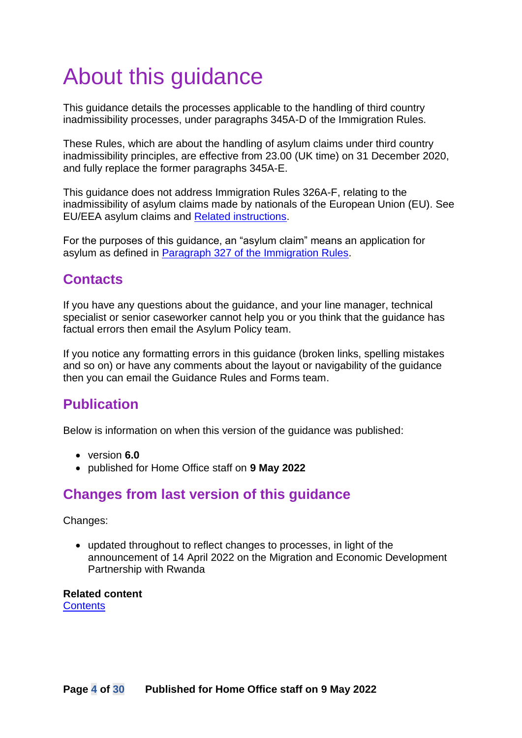# <span id="page-3-0"></span>About this guidance

This guidance details the processes applicable to the handling of third country inadmissibility processes, under paragraphs 345A-D of the Immigration Rules.

These Rules, which are about the handling of asylum claims under third country inadmissibility principles, are effective from 23.00 (UK time) on 31 December 2020, and fully replace the former paragraphs 345A-E.

This guidance does not address Immigration Rules 326A-F, relating to the inadmissibility of asylum claims made by nationals of the European Union (EU). See EU/EEA asylum claims and [Related instructions.](#page-5-2)

For the purposes of this guidance, an "asylum claim" means an application for asylum as defined in [Paragraph 327 of the Immigration Rules.](https://www.gov.uk/guidance/immigration-rules/immigration-rules-part-11-asylum)

### <span id="page-3-1"></span>**Contacts**

If you have any questions about the guidance, and your line manager, technical specialist or senior caseworker cannot help you or you think that the guidance has factual errors then email the Asylum Policy team.

If you notice any formatting errors in this guidance (broken links, spelling mistakes and so on) or have any comments about the layout or navigability of the guidance then you can email the Guidance Rules and Forms team.

## <span id="page-3-2"></span>**Publication**

Below is information on when this version of the guidance was published:

- version **6.0**
- published for Home Office staff on **9 May 2022**

#### <span id="page-3-3"></span>**Changes from last version of this guidance**

Changes:

• updated throughout to reflect changes to processes, in light of the announcement of 14 April 2022 on the Migration and Economic Development Partnership with Rwanda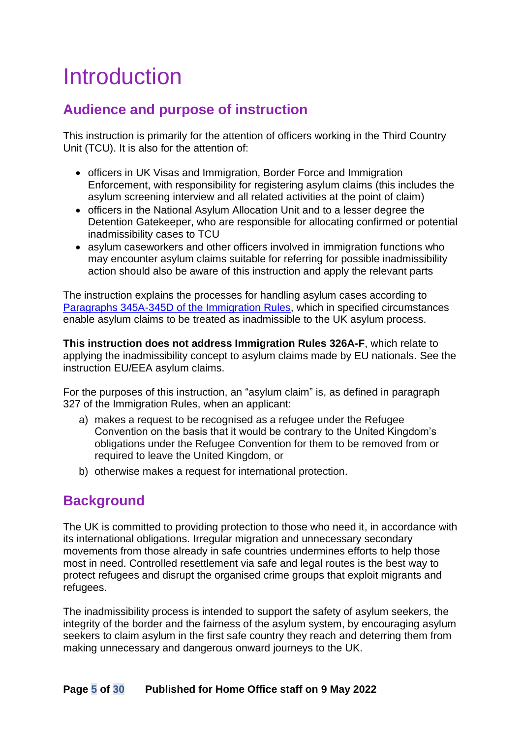## <span id="page-4-0"></span>Introduction

### <span id="page-4-1"></span>**Audience and purpose of instruction**

This instruction is primarily for the attention of officers working in the Third Country Unit (TCU). It is also for the attention of:

- officers in UK Visas and Immigration, Border Force and Immigration Enforcement, with responsibility for registering asylum claims (this includes the asylum screening interview and all related activities at the point of claim)
- officers in the National Asylum Allocation Unit and to a lesser degree the Detention Gatekeeper, who are responsible for allocating confirmed or potential inadmissibility cases to TCU
- asylum caseworkers and other officers involved in immigration functions who may encounter asylum claims suitable for referring for possible inadmissibility action should also be aware of this instruction and apply the relevant parts

The instruction explains the processes for handling asylum cases according to Paragraphs 345A-345D [of the Immigration Rules,](https://www.gov.uk/guidance/immigration-rules/immigration-rules-part-11-asylum) which in specified circumstances enable asylum claims to be treated as inadmissible to the UK asylum process.

**This instruction does not address Immigration Rules 326A-F**, which relate to applying the inadmissibility concept to asylum claims made by EU nationals. See the instruction EU/EEA asylum claims.

For the purposes of this instruction, an "asylum claim" is, as defined in paragraph 327 of the Immigration Rules, when an applicant:

- a) makes a request to be recognised as a refugee under the Refugee Convention on the basis that it would be contrary to the United Kingdom's obligations under the Refugee Convention for them to be removed from or required to leave the United Kingdom, or
- b) otherwise makes a request for international protection.

#### <span id="page-4-2"></span>**Background**

The UK is committed to providing protection to those who need it, in accordance with its international obligations. Irregular migration and unnecessary secondary movements from those already in safe countries undermines efforts to help those most in need. Controlled resettlement via safe and legal routes is the best way to protect refugees and disrupt the organised crime groups that exploit migrants and refugees.

The inadmissibility process is intended to support the safety of asylum seekers, the integrity of the border and the fairness of the asylum system, by encouraging asylum seekers to claim asylum in the first safe country they reach and deterring them from making unnecessary and dangerous onward journeys to the UK.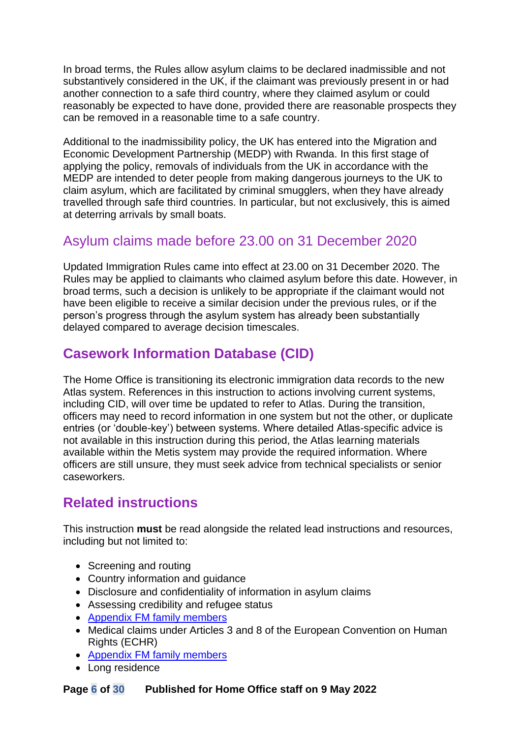In broad terms, the Rules allow asylum claims to be declared inadmissible and not substantively considered in the UK, if the claimant was previously present in or had another connection to a safe third country, where they claimed asylum or could reasonably be expected to have done, provided there are reasonable prospects they can be removed in a reasonable time to a safe country.

Additional to the inadmissibility policy, the UK has entered into the Migration and Economic Development Partnership (MEDP) with Rwanda. In this first stage of applying the policy, removals of individuals from the UK in accordance with the MEDP are intended to deter people from making dangerous journeys to the UK to claim asylum, which are facilitated by criminal smugglers, when they have already travelled through safe third countries. In particular, but not exclusively, this is aimed at deterring arrivals by small boats.

### <span id="page-5-0"></span>Asylum claims made before 23.00 on 31 December 2020

Updated Immigration Rules came into effect at 23.00 on 31 December 2020. The Rules may be applied to claimants who claimed asylum before this date. However, in broad terms, such a decision is unlikely to be appropriate if the claimant would not have been eligible to receive a similar decision under the previous rules, or if the person's progress through the asylum system has already been substantially delayed compared to average decision timescales.

### <span id="page-5-1"></span>**Casework Information Database (CID)**

The Home Office is transitioning its electronic immigration data records to the new Atlas system. References in this instruction to actions involving current systems, including CID, will over time be updated to refer to Atlas. During the transition, officers may need to record information in one system but not the other, or duplicate entries (or 'double-key') between systems. Where detailed Atlas-specific advice is not available in this instruction during this period, the Atlas learning materials available within the Metis system may provide the required information. Where officers are still unsure, they must seek advice from technical specialists or senior caseworkers.

### <span id="page-5-2"></span>**Related instructions**

This instruction **must** be read alongside the related lead instructions and resources, including but not limited to:

- Screening and routing
- Country information and guidance
- Disclosure and confidentiality of information in asylum claims
- Assessing credibility and refugee status
- [Appendix FM family members](https://www.gov.uk/government/publications/chapter-8-appendix-fm-family-members)
- Medical claims under Articles 3 and 8 of the European Convention on Human Rights (ECHR)
- [Appendix FM family members](https://www.gov.uk/government/publications/chapter-8-appendix-fm-family-members)
- Long residence

#### **Page 6 of 30 Published for Home Office staff on 9 May 2022**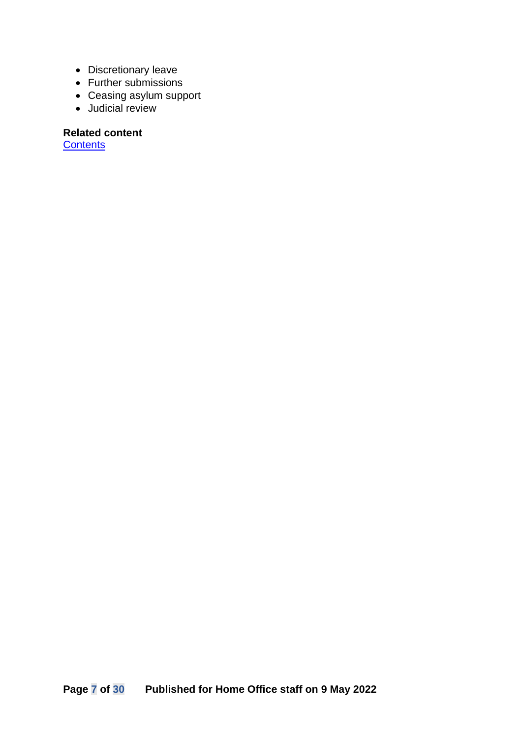- Discretionary leave
- Further submissions
- Ceasing asylum support
- Judicial review

#### **Related content**

**[Contents](#page-1-0)**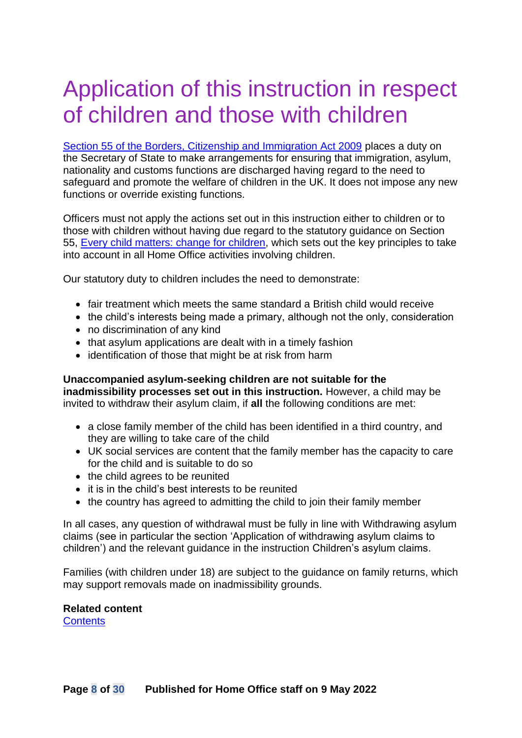## <span id="page-7-0"></span>Application of this instruction in respect of children and those with children

[Section 55 of the Borders, Citizenship and Immigration Act 2009](https://www.legislation.gov.uk/ukpga/2009/11/section/55) places a duty on the Secretary of State to make arrangements for ensuring that immigration, asylum, nationality and customs functions are discharged having regard to the need to safeguard and promote the welfare of children in the UK. It does not impose any new functions or override existing functions.

Officers must not apply the actions set out in this instruction either to children or to those with children without having due regard to the statutory guidance on Section 55, [Every child matters: change for children,](https://www.gov.uk/government/uploads/system/uploads/attachment_data/file/257876/change-for-children.pdf) which sets out the key principles to take into account in all Home Office activities involving children.

Our statutory duty to children includes the need to demonstrate:

- fair treatment which meets the same standard a British child would receive
- the child's interests being made a primary, although not the only, consideration
- no discrimination of any kind
- that asylum applications are dealt with in a timely fashion
- identification of those that might be at risk from harm

#### **Unaccompanied asylum-seeking children are not suitable for the inadmissibility processes set out in this instruction.** However, a child may be invited to withdraw their asylum claim, if **all** the following conditions are met:

- a close family member of the child has been identified in a third country, and they are willing to take care of the child
- UK social services are content that the family member has the capacity to care for the child and is suitable to do so
- the child agrees to be reunited
- it is in the child's best interests to be reunited
- the country has agreed to admitting the child to join their family member

In all cases, any question of withdrawal must be fully in line with Withdrawing asylum claims (see in particular the section 'Application of withdrawing asylum claims to children') and the relevant guidance in the instruction Children's asylum claims.

Families (with children under 18) are subject to the guidance on family returns, which may support removals made on inadmissibility grounds.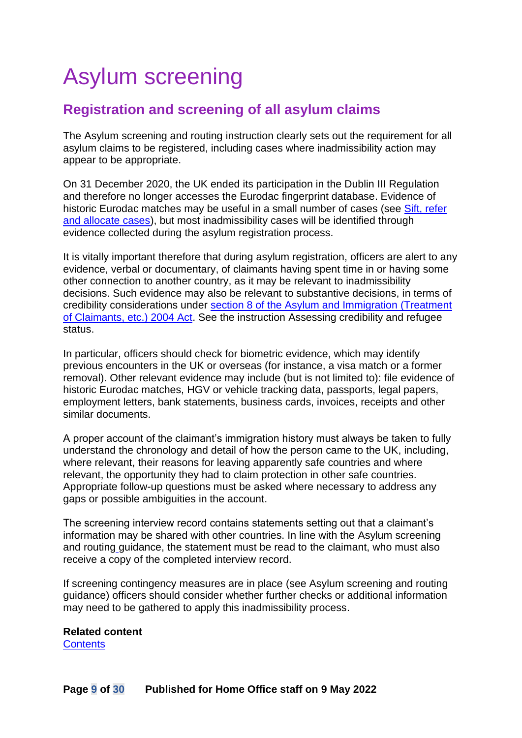# <span id="page-8-0"></span>Asylum screening

#### <span id="page-8-1"></span>**Registration and screening of all asylum claims**

The Asylum screening and routing instruction clearly sets out the requirement for all asylum claims to be registered, including cases where inadmissibility action may appear to be appropriate.

On 31 December 2020, the UK ended its participation in the Dublin III Regulation and therefore no longer accesses the Eurodac fingerprint database. Evidence of historic Eurodac matches may be useful in a small number of cases (see [Sift, refer](#page-10-0)  [and allocate cases\)](#page-10-0), but most inadmissibility cases will be identified through evidence collected during the asylum registration process.

It is vitally important therefore that during asylum registration, officers are alert to any evidence, verbal or documentary, of claimants having spent time in or having some other connection to another country, as it may be relevant to inadmissibility decisions. Such evidence may also be relevant to substantive decisions, in terms of credibility considerations under [section 8 of the Asylum and Immigration \(Treatment](https://www.legislation.gov.uk/ukpga/2004/19/section/8)  [of Claimants, etc.\) 2004 Act.](https://www.legislation.gov.uk/ukpga/2004/19/section/8) See the instruction Assessing credibility and refugee status.

In particular, officers should check for biometric evidence, which may identify previous encounters in the UK or overseas (for instance, a visa match or a former removal). Other relevant evidence may include (but is not limited to): file evidence of historic Eurodac matches, HGV or vehicle tracking data, passports, legal papers, employment letters, bank statements, business cards, invoices, receipts and other similar documents.

A proper account of the claimant's immigration history must always be taken to fully understand the chronology and detail of how the person came to the UK, including, where relevant, their reasons for leaving apparently safe countries and where relevant, the opportunity they had to claim protection in other safe countries. Appropriate follow-up questions must be asked where necessary to address any gaps or possible ambiguities in the account.

The screening interview record contains statements setting out that a claimant's information may be shared with other countries. In line with the Asylum screening and routing guidance, the statement must be read to the claimant, who must also receive a copy of the completed interview record.

If screening contingency measures are in place (see Asylum screening and routing guidance) officers should consider whether further checks or additional information may need to be gathered to apply this inadmissibility process.

**Related content**

**[Contents](#page-1-0)**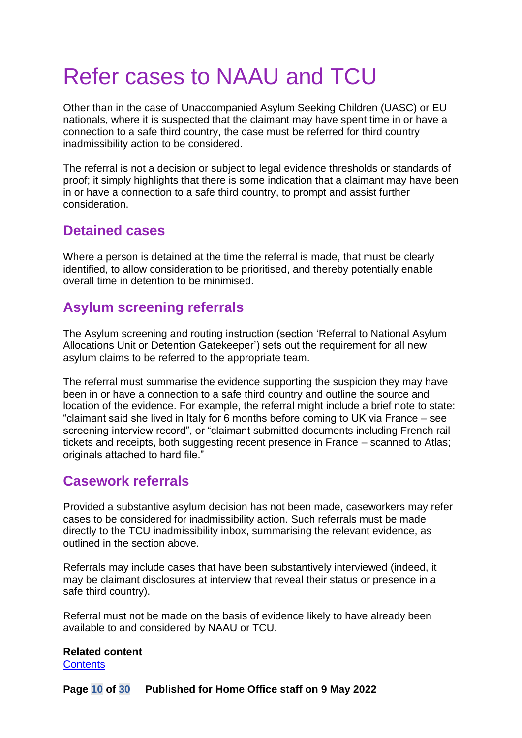# <span id="page-9-0"></span>Refer cases to NAAU and TCU

Other than in the case of Unaccompanied Asylum Seeking Children (UASC) or EU nationals, where it is suspected that the claimant may have spent time in or have a connection to a safe third country, the case must be referred for third country inadmissibility action to be considered.

The referral is not a decision or subject to legal evidence thresholds or standards of proof; it simply highlights that there is some indication that a claimant may have been in or have a connection to a safe third country, to prompt and assist further consideration.

#### <span id="page-9-1"></span>**Detained cases**

Where a person is detained at the time the referral is made, that must be clearly identified, to allow consideration to be prioritised, and thereby potentially enable overall time in detention to be minimised.

### <span id="page-9-2"></span>**Asylum screening referrals**

The Asylum screening and routing instruction (section 'Referral to National Asylum Allocations Unit or Detention Gatekeeper') sets out the requirement for all new asylum claims to be referred to the appropriate team.

The referral must summarise the evidence supporting the suspicion they may have been in or have a connection to a safe third country and outline the source and location of the evidence. For example, the referral might include a brief note to state: "claimant said she lived in Italy for 6 months before coming to UK via France – see screening interview record", or "claimant submitted documents including French rail tickets and receipts, both suggesting recent presence in France – scanned to Atlas; originals attached to hard file."

#### <span id="page-9-3"></span>**Casework referrals**

Provided a substantive asylum decision has not been made, caseworkers may refer cases to be considered for inadmissibility action. Such referrals must be made directly to the TCU inadmissibility inbox, summarising the relevant evidence, as outlined in the section above.

Referrals may include cases that have been substantively interviewed (indeed, it may be claimant disclosures at interview that reveal their status or presence in a safe third country).

Referral must not be made on the basis of evidence likely to have already been available to and considered by NAAU or TCU.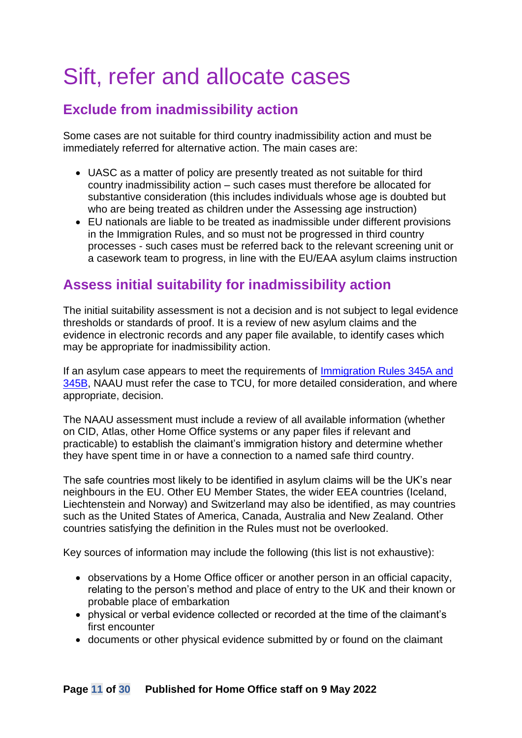## <span id="page-10-0"></span>Sift, refer and allocate cases

### <span id="page-10-1"></span>**Exclude from inadmissibility action**

Some cases are not suitable for third country inadmissibility action and must be immediately referred for alternative action. The main cases are:

- UASC as a matter of policy are presently treated as not suitable for third country inadmissibility action – such cases must therefore be allocated for substantive consideration (this includes individuals whose age is doubted but who are being treated as children under the Assessing age instruction)
- EU nationals are liable to be treated as inadmissible under different provisions in the Immigration Rules, and so must not be progressed in third country processes - such cases must be referred back to the relevant screening unit or a casework team to progress, in line with the EU/EAA asylum claims instruction

### <span id="page-10-2"></span>**Assess initial suitability for inadmissibility action**

The initial suitability assessment is not a decision and is not subject to legal evidence thresholds or standards of proof. It is a review of new asylum claims and the evidence in electronic records and any paper file available, to identify cases which may be appropriate for inadmissibility action.

If an asylum case appears to meet the requirements of [Immigration Rules 345A and](https://www.gov.uk/guidance/immigration-rules/immigration-rules-part-11-asylum)  [345B,](https://www.gov.uk/guidance/immigration-rules/immigration-rules-part-11-asylum) NAAU must refer the case to TCU, for more detailed consideration, and where appropriate, decision.

The NAAU assessment must include a review of all available information (whether on CID, Atlas, other Home Office systems or any paper files if relevant and practicable) to establish the claimant's immigration history and determine whether they have spent time in or have a connection to a named safe third country.

The safe countries most likely to be identified in asylum claims will be the UK's near neighbours in the EU. Other EU Member States, the wider EEA countries (Iceland, Liechtenstein and Norway) and Switzerland may also be identified, as may countries such as the United States of America, Canada, Australia and New Zealand. Other countries satisfying the definition in the Rules must not be overlooked.

Key sources of information may include the following (this list is not exhaustive):

- observations by a Home Office officer or another person in an official capacity, relating to the person's method and place of entry to the UK and their known or probable place of embarkation
- physical or verbal evidence collected or recorded at the time of the claimant's first encounter
- documents or other physical evidence submitted by or found on the claimant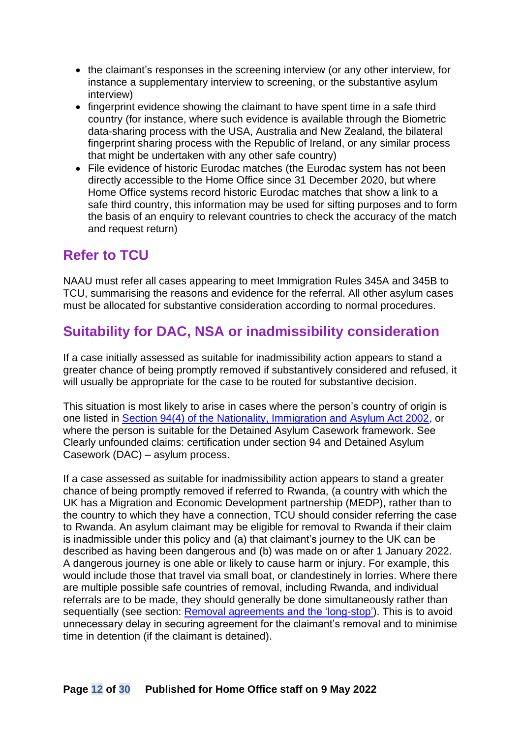- the claimant's responses in the screening interview (or any other interview, for instance a supplementary interview to screening, or the substantive asylum interview)
- fingerprint evidence showing the claimant to have spent time in a safe third country (for instance, where such evidence is available through the Biometric data-sharing process with the USA, Australia and New Zealand, the bilateral fingerprint sharing process with the Republic of Ireland, or any similar process that might be undertaken with any other safe country)
- File evidence of historic Eurodac matches (the Eurodac system has not been directly accessible to the Home Office since 31 December 2020, but where Home Office systems record historic Eurodac matches that show a link to a safe third country, this information may be used for sifting purposes and to form the basis of an enquiry to relevant countries to check the accuracy of the match and request return)

#### <span id="page-11-0"></span>**Refer to TCU**

NAAU must refer all cases appearing to meet Immigration Rules 345A and 345B to TCU, summarising the reasons and evidence for the referral. All other asylum cases must be allocated for substantive consideration according to normal procedures.

### <span id="page-11-1"></span>**Suitability for DAC, NSA or inadmissibility consideration**

If a case initially assessed as suitable for inadmissibility action appears to stand a greater chance of being promptly removed if substantively considered and refused, it will usually be appropriate for the case to be routed for substantive decision.

This situation is most likely to arise in cases where the person's country of origin is one listed in [Section 94\(4\) of the Nationality, Immigration and Asylum Act 2002,](http://www.legislation.gov.uk/ukpga/2002/41/section/94A) or where the person is suitable for the Detained Asylum Casework framework. See Clearly unfounded claims: certification under section 94 and Detained Asylum Casework (DAC) – asylum process.

If a case assessed as suitable for inadmissibility action appears to stand a greater chance of being promptly removed if referred to Rwanda, (a country with which the UK has a Migration and Economic Development partnership (MEDP), rather than to the country to which they have a connection, TCU should consider referring the case to Rwanda. An asylum claimant may be eligible for removal to Rwanda if their claim is inadmissible under this policy and (a) that claimant's journey to the UK can be described as having been dangerous and (b) was made on or after 1 January 2022. A dangerous journey is one able or likely to cause harm or injury. For example, this would include those that travel via small boat, or clandestinely in lorries. Where there are multiple possible safe countries of removal, including Rwanda, and individual referrals are to be made, they should generally be done simultaneously rather than sequentially (see section: [Removal agreements](#page-16-1) and the 'long-stop'). This is to avoid unnecessary delay in securing agreement for the claimant's removal and to minimise time in detention (if the claimant is detained).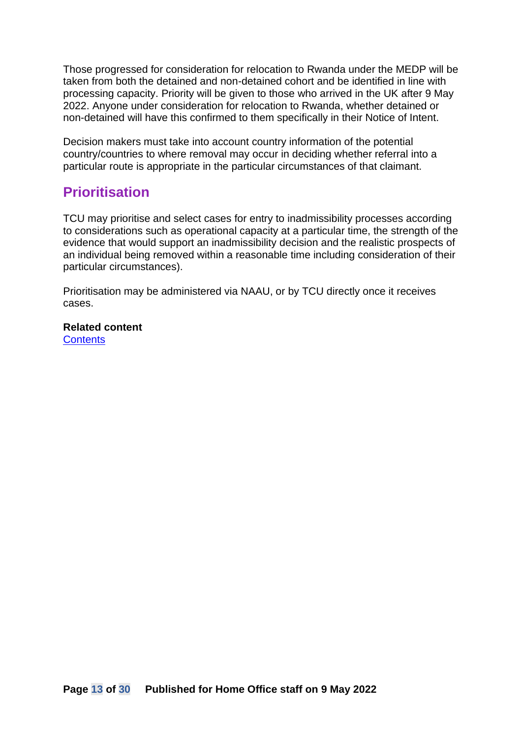Those progressed for consideration for relocation to Rwanda under the MEDP will be taken from both the detained and non-detained cohort and be identified in line with processing capacity. Priority will be given to those who arrived in the UK after 9 May 2022. Anyone under consideration for relocation to Rwanda, whether detained or non-detained will have this confirmed to them specifically in their Notice of Intent.

Decision makers must take into account country information of the potential country/countries to where removal may occur in deciding whether referral into a particular route is appropriate in the particular circumstances of that claimant.

### <span id="page-12-0"></span>**Prioritisation**

TCU may prioritise and select cases for entry to inadmissibility processes according to considerations such as operational capacity at a particular time, the strength of the evidence that would support an inadmissibility decision and the realistic prospects of an individual being removed within a reasonable time including consideration of their particular circumstances).

Prioritisation may be administered via NAAU, or by TCU directly once it receives cases.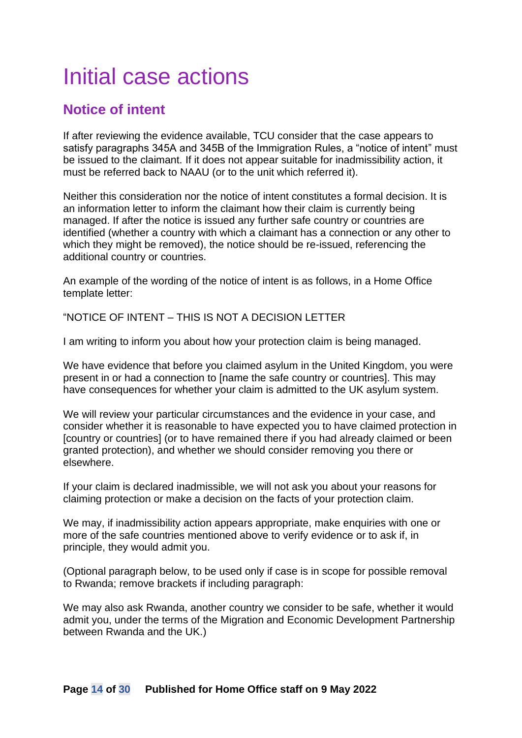## <span id="page-13-0"></span>Initial case actions

#### <span id="page-13-1"></span>**Notice of intent**

If after reviewing the evidence available, TCU consider that the case appears to satisfy paragraphs 345A and 345B of the Immigration Rules, a "notice of intent" must be issued to the claimant. If it does not appear suitable for inadmissibility action, it must be referred back to NAAU (or to the unit which referred it).

Neither this consideration nor the notice of intent constitutes a formal decision. It is an information letter to inform the claimant how their claim is currently being managed. If after the notice is issued any further safe country or countries are identified (whether a country with which a claimant has a connection or any other to which they might be removed), the notice should be re-issued, referencing the additional country or countries.

An example of the wording of the notice of intent is as follows, in a Home Office template letter:

"NOTICE OF INTENT – THIS IS NOT A DECISION LETTER

I am writing to inform you about how your protection claim is being managed.

We have evidence that before you claimed asylum in the United Kingdom, you were present in or had a connection to [name the safe country or countries]. This may have consequences for whether your claim is admitted to the UK asylum system.

We will review your particular circumstances and the evidence in your case, and consider whether it is reasonable to have expected you to have claimed protection in [country or countries] (or to have remained there if you had already claimed or been granted protection), and whether we should consider removing you there or elsewhere.

If your claim is declared inadmissible, we will not ask you about your reasons for claiming protection or make a decision on the facts of your protection claim.

We may, if inadmissibility action appears appropriate, make enquiries with one or more of the safe countries mentioned above to verify evidence or to ask if, in principle, they would admit you.

(Optional paragraph below, to be used only if case is in scope for possible removal to Rwanda; remove brackets if including paragraph:

We may also ask Rwanda, another country we consider to be safe, whether it would admit you, under the terms of the Migration and Economic Development Partnership between Rwanda and the UK.)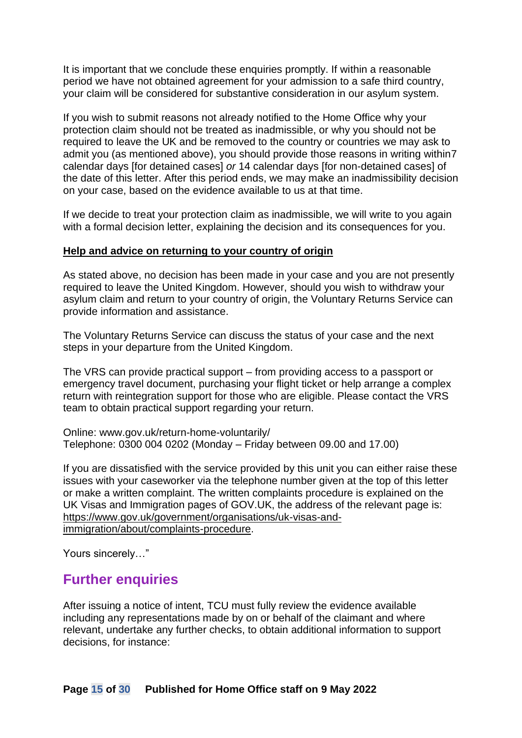It is important that we conclude these enquiries promptly. If within a reasonable period we have not obtained agreement for your admission to a safe third country, your claim will be considered for substantive consideration in our asylum system.

If you wish to submit reasons not already notified to the Home Office why your protection claim should not be treated as inadmissible, or why you should not be required to leave the UK and be removed to the country or countries we may ask to admit you (as mentioned above), you should provide those reasons in writing within7 calendar days [for detained cases] *or* 14 calendar days [for non-detained cases] of the date of this letter. After this period ends, we may make an inadmissibility decision on your case, based on the evidence available to us at that time.

If we decide to treat your protection claim as inadmissible, we will write to you again with a formal decision letter, explaining the decision and its consequences for you.

#### **Help and advice on returning to your country of origin**

As stated above, no decision has been made in your case and you are not presently required to leave the United Kingdom. However, should you wish to withdraw your asylum claim and return to your country of origin, the Voluntary Returns Service can provide information and assistance.

The Voluntary Returns Service can discuss the status of your case and the next steps in your departure from the United Kingdom.

The VRS can provide practical support – from providing access to a passport or emergency travel document, purchasing your flight ticket or help arrange a complex return with reintegration support for those who are eligible. Please contact the VRS team to obtain practical support regarding your return.

Online: www.gov.uk/return-home-voluntarily/ Telephone: 0300 004 0202 (Monday – Friday between 09.00 and 17.00)

If you are dissatisfied with the service provided by this unit you can either raise these issues with your caseworker via the telephone number given at the top of this letter or make a written complaint. The written complaints procedure is explained on the UK Visas and Immigration pages of GOV.UK, the address of the relevant page is: [https://www.gov.uk/government/organisations/uk-visas-and](https://www.gov.uk/government/organisations/uk-visas-and-immigration/about/complaints-procedure)[immigration/about/complaints-procedure.](https://www.gov.uk/government/organisations/uk-visas-and-immigration/about/complaints-procedure)

Yours sincerely…"

#### <span id="page-14-0"></span>**Further enquiries**

After issuing a notice of intent, TCU must fully review the evidence available including any representations made by on or behalf of the claimant and where relevant, undertake any further checks, to obtain additional information to support decisions, for instance: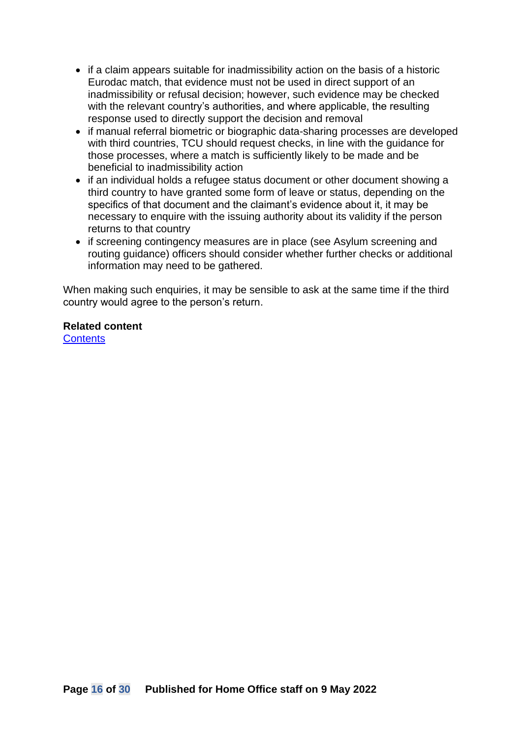- if a claim appears suitable for inadmissibility action on the basis of a historic Eurodac match, that evidence must not be used in direct support of an inadmissibility or refusal decision; however, such evidence may be checked with the relevant country's authorities, and where applicable, the resulting response used to directly support the decision and removal
- if manual referral biometric or biographic data-sharing processes are developed with third countries, TCU should request checks, in line with the guidance for those processes, where a match is sufficiently likely to be made and be beneficial to inadmissibility action
- if an individual holds a refugee status document or other document showing a third country to have granted some form of leave or status, depending on the specifics of that document and the claimant's evidence about it, it may be necessary to enquire with the issuing authority about its validity if the person returns to that country
- if screening contingency measures are in place (see Asylum screening and routing guidance) officers should consider whether further checks or additional information may need to be gathered.

When making such enquiries, it may be sensible to ask at the same time if the third country would agree to the person's return.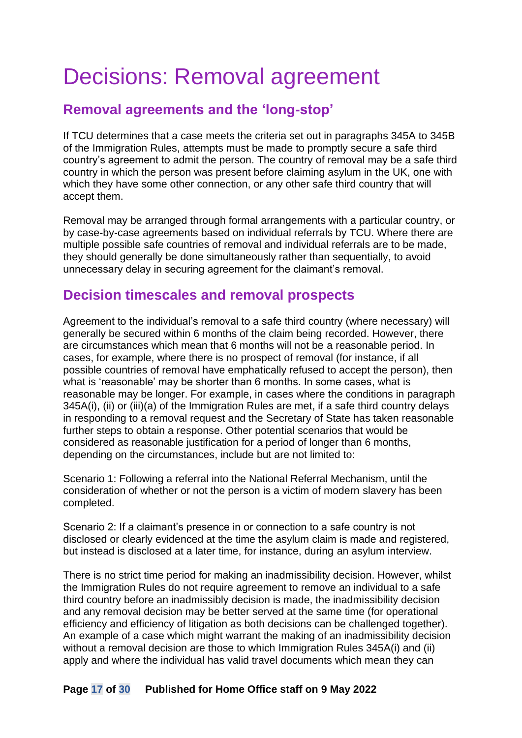## <span id="page-16-0"></span>Decisions: Removal agreement

### <span id="page-16-1"></span>**Removal agreements and the 'long-stop'**

If TCU determines that a case meets the criteria set out in paragraphs 345A to 345B of the Immigration Rules, attempts must be made to promptly secure a safe third country's agreement to admit the person. The country of removal may be a safe third country in which the person was present before claiming asylum in the UK, one with which they have some other connection, or any other safe third country that will accept them.

Removal may be arranged through formal arrangements with a particular country, or by case-by-case agreements based on individual referrals by TCU. Where there are multiple possible safe countries of removal and individual referrals are to be made, they should generally be done simultaneously rather than sequentially, to avoid unnecessary delay in securing agreement for the claimant's removal.

#### <span id="page-16-2"></span>**Decision timescales and removal prospects**

Agreement to the individual's removal to a safe third country (where necessary) will generally be secured within 6 months of the claim being recorded. However, there are circumstances which mean that 6 months will not be a reasonable period. In cases, for example, where there is no prospect of removal (for instance, if all possible countries of removal have emphatically refused to accept the person), then what is 'reasonable' may be shorter than 6 months. In some cases, what is reasonable may be longer. For example, in cases where the conditions in paragraph 345A(i), (ii) or (iii)(a) of the Immigration Rules are met, if a safe third country delays in responding to a removal request and the Secretary of State has taken reasonable further steps to obtain a response. Other potential scenarios that would be considered as reasonable justification for a period of longer than 6 months, depending on the circumstances, include but are not limited to:

Scenario 1: Following a referral into the National Referral Mechanism, until the consideration of whether or not the person is a victim of modern slavery has been completed.

Scenario 2: If a claimant's presence in or connection to a safe country is not disclosed or clearly evidenced at the time the asylum claim is made and registered, but instead is disclosed at a later time, for instance, during an asylum interview.

There is no strict time period for making an inadmissibility decision. However, whilst the Immigration Rules do not require agreement to remove an individual to a safe third country before an inadmissibly decision is made, the inadmissibility decision and any removal decision may be better served at the same time (for operational efficiency and efficiency of litigation as both decisions can be challenged together). An example of a case which might warrant the making of an inadmissibility decision without a removal decision are those to which Immigration Rules 345A(i) and (ii) apply and where the individual has valid travel documents which mean they can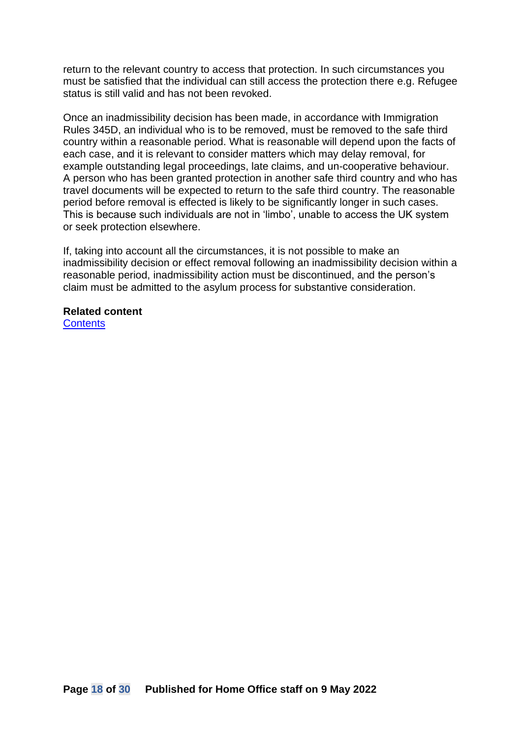return to the relevant country to access that protection. In such circumstances you must be satisfied that the individual can still access the protection there e.g. Refugee status is still valid and has not been revoked.

Once an inadmissibility decision has been made, in accordance with Immigration Rules 345D, an individual who is to be removed, must be removed to the safe third country within a reasonable period. What is reasonable will depend upon the facts of each case, and it is relevant to consider matters which may delay removal, for example outstanding legal proceedings, late claims, and un-cooperative behaviour. A person who has been granted protection in another safe third country and who has travel documents will be expected to return to the safe third country. The reasonable period before removal is effected is likely to be significantly longer in such cases. This is because such individuals are not in 'limbo', unable to access the UK system or seek protection elsewhere.

If, taking into account all the circumstances, it is not possible to make an inadmissibility decision or effect removal following an inadmissibility decision within a reasonable period, inadmissibility action must be discontinued, and the person's claim must be admitted to the asylum process for substantive consideration.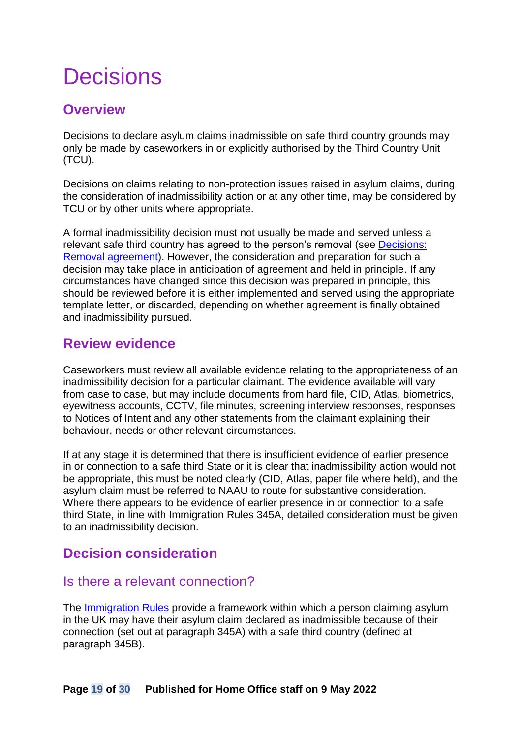## <span id="page-18-0"></span>**Decisions**

### <span id="page-18-1"></span>**Overview**

Decisions to declare asylum claims inadmissible on safe third country grounds may only be made by caseworkers in or explicitly authorised by the Third Country Unit (TCU).

Decisions on claims relating to non-protection issues raised in asylum claims, during the consideration of inadmissibility action or at any other time, may be considered by TCU or by other units where appropriate.

A formal inadmissibility decision must not usually be made and served unless a relevant safe third country has agreed to the person's removal (see [Decisions:](#page-16-0)  [Removal agreement\)](#page-16-0). However, the consideration and preparation for such a decision may take place in anticipation of agreement and held in principle. If any circumstances have changed since this decision was prepared in principle, this should be reviewed before it is either implemented and served using the appropriate template letter, or discarded, depending on whether agreement is finally obtained and inadmissibility pursued.

#### <span id="page-18-2"></span>**Review evidence**

Caseworkers must review all available evidence relating to the appropriateness of an inadmissibility decision for a particular claimant. The evidence available will vary from case to case, but may include documents from hard file, CID, Atlas, biometrics, eyewitness accounts, CCTV, file minutes, screening interview responses, responses to Notices of Intent and any other statements from the claimant explaining their behaviour, needs or other relevant circumstances.

If at any stage it is determined that there is insufficient evidence of earlier presence in or connection to a safe third State or it is clear that inadmissibility action would not be appropriate, this must be noted clearly (CID, Atlas, paper file where held), and the asylum claim must be referred to NAAU to route for substantive consideration. Where there appears to be evidence of earlier presence in or connection to a safe third State, in line with Immigration Rules 345A, detailed consideration must be given to an inadmissibility decision.

## <span id="page-18-3"></span>**Decision consideration**

#### <span id="page-18-4"></span>Is there a relevant connection?

The [Immigration Rules](https://www.gov.uk/guidance/immigration-rules/immigration-rules-part-11-asylum) provide a framework within which a person claiming asylum in the UK may have their asylum claim declared as inadmissible because of their connection (set out at paragraph 345A) with a safe third country (defined at paragraph 345B).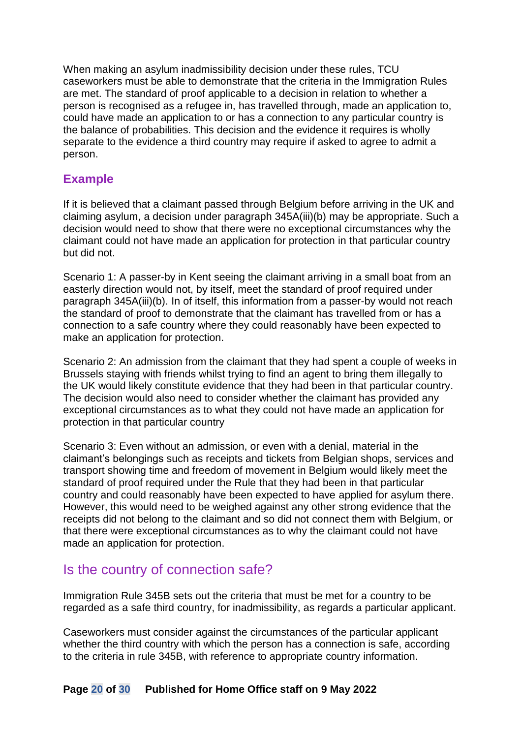When making an asylum inadmissibility decision under these rules, TCU caseworkers must be able to demonstrate that the criteria in the Immigration Rules are met. The standard of proof applicable to a decision in relation to whether a person is recognised as a refugee in, has travelled through, made an application to, could have made an application to or has a connection to any particular country is the balance of probabilities. This decision and the evidence it requires is wholly separate to the evidence a third country may require if asked to agree to admit a person.

#### <span id="page-19-0"></span>**Example**

If it is believed that a claimant passed through Belgium before arriving in the UK and claiming asylum, a decision under paragraph 345A(iii)(b) may be appropriate. Such a decision would need to show that there were no exceptional circumstances why the claimant could not have made an application for protection in that particular country but did not.

Scenario 1: A passer-by in Kent seeing the claimant arriving in a small boat from an easterly direction would not, by itself, meet the standard of proof required under paragraph 345A(iii)(b). In of itself, this information from a passer-by would not reach the standard of proof to demonstrate that the claimant has travelled from or has a connection to a safe country where they could reasonably have been expected to make an application for protection.

Scenario 2: An admission from the claimant that they had spent a couple of weeks in Brussels staying with friends whilst trying to find an agent to bring them illegally to the UK would likely constitute evidence that they had been in that particular country. The decision would also need to consider whether the claimant has provided any exceptional circumstances as to what they could not have made an application for protection in that particular country

Scenario 3: Even without an admission, or even with a denial, material in the claimant's belongings such as receipts and tickets from Belgian shops, services and transport showing time and freedom of movement in Belgium would likely meet the standard of proof required under the Rule that they had been in that particular country and could reasonably have been expected to have applied for asylum there. However, this would need to be weighed against any other strong evidence that the receipts did not belong to the claimant and so did not connect them with Belgium, or that there were exceptional circumstances as to why the claimant could not have made an application for protection.

#### <span id="page-19-1"></span>Is the country of connection safe?

Immigration Rule 345B sets out the criteria that must be met for a country to be regarded as a safe third country, for inadmissibility, as regards a particular applicant.

Caseworkers must consider against the circumstances of the particular applicant whether the third country with which the person has a connection is safe, according to the criteria in rule 345B, with reference to appropriate country information.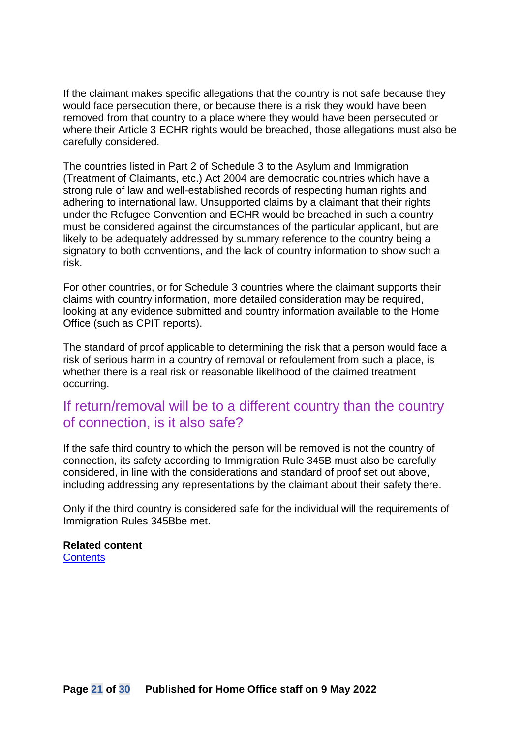If the claimant makes specific allegations that the country is not safe because they would face persecution there, or because there is a risk they would have been removed from that country to a place where they would have been persecuted or where their Article 3 ECHR rights would be breached, those allegations must also be carefully considered.

The countries listed in Part 2 of Schedule 3 to the Asylum and Immigration (Treatment of Claimants, etc.) Act 2004 are democratic countries which have a strong rule of law and well-established records of respecting human rights and adhering to international law. Unsupported claims by a claimant that their rights under the Refugee Convention and ECHR would be breached in such a country must be considered against the circumstances of the particular applicant, but are likely to be adequately addressed by summary reference to the country being a signatory to both conventions, and the lack of country information to show such a risk.

For other countries, or for Schedule 3 countries where the claimant supports their claims with country information, more detailed consideration may be required, looking at any evidence submitted and country information available to the Home Office (such as CPIT reports).

The standard of proof applicable to determining the risk that a person would face a risk of serious harm in a country of removal or refoulement from such a place, is whether there is a real risk or reasonable likelihood of the claimed treatment occurring.

#### <span id="page-20-0"></span>If return/removal will be to a different country than the country of connection, is it also safe?

If the safe third country to which the person will be removed is not the country of connection, its safety according to Immigration Rule 345B must also be carefully considered, in line with the considerations and standard of proof set out above, including addressing any representations by the claimant about their safety there.

Only if the third country is considered safe for the individual will the requirements of Immigration Rules 345Bbe met.

#### **Related content**

**[Contents](#page-1-0)**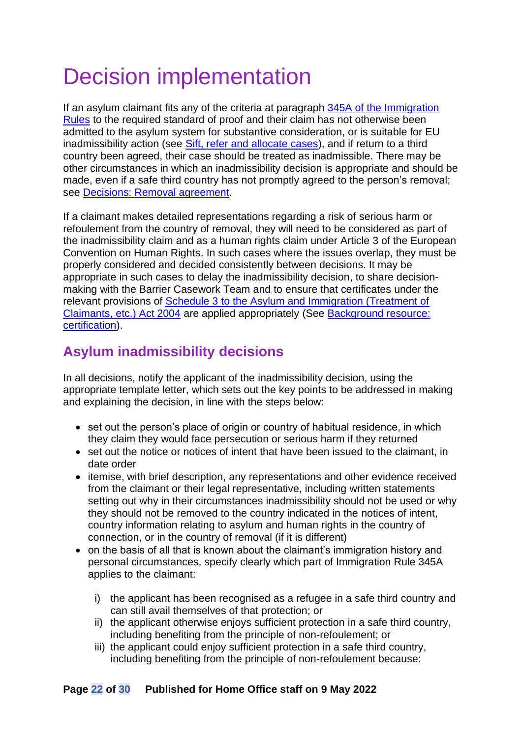# <span id="page-21-0"></span>Decision implementation

If an asylum claimant fits any of the criteria at paragraph [345A of the Immigration](#page-26-1)  [Rules](#page-26-1) to the required standard of proof and their claim has not otherwise been admitted to the asylum system for substantive consideration, or is suitable for EU inadmissibility action (see [Sift, refer and allocate cases\)](#page-10-0), and if return to a third country been agreed, their case should be treated as inadmissible. There may be other circumstances in which an inadmissibility decision is appropriate and should be made, even if a safe third country has not promptly agreed to the person's removal; see [Decisions: Removal agreement.](#page-16-0)

If a claimant makes detailed representations regarding a risk of serious harm or refoulement from the country of removal, they will need to be considered as part of the inadmissibility claim and as a human rights claim under Article 3 of the European Convention on Human Rights. In such cases where the issues overlap, they must be properly considered and decided consistently between decisions. It may be appropriate in such cases to delay the inadmissibility decision, to share decisionmaking with the Barrier Casework Team and to ensure that certificates under the relevant provisions of [Schedule 3 to the Asylum and Immigration \(Treatment of](http://www.legislation.gov.uk/ukpga/2004/19/schedule/3)  [Claimants, etc.\) Act 2004](http://www.legislation.gov.uk/ukpga/2004/19/schedule/3) are applied appropriately (See [Background resource:](#page-28-0)  [certification\)](#page-28-0).

### <span id="page-21-1"></span>**Asylum inadmissibility decisions**

In all decisions, notify the applicant of the inadmissibility decision, using the appropriate template letter, which sets out the key points to be addressed in making and explaining the decision, in line with the steps below:

- set out the person's place of origin or country of habitual residence, in which they claim they would face persecution or serious harm if they returned
- set out the notice or notices of intent that have been issued to the claimant, in date order
- itemise, with brief description, any representations and other evidence received from the claimant or their legal representative, including written statements setting out why in their circumstances inadmissibility should not be used or why they should not be removed to the country indicated in the notices of intent, country information relating to asylum and human rights in the country of connection, or in the country of removal (if it is different)
- on the basis of all that is known about the claimant's immigration history and personal circumstances, specify clearly which part of Immigration Rule 345A applies to the claimant:
	- i) the applicant has been recognised as a refugee in a safe third country and can still avail themselves of that protection; or
	- ii) the applicant otherwise enjoys sufficient protection in a safe third country, including benefiting from the principle of non-refoulement; or
	- iii) the applicant could enjoy sufficient protection in a safe third country, including benefiting from the principle of non-refoulement because: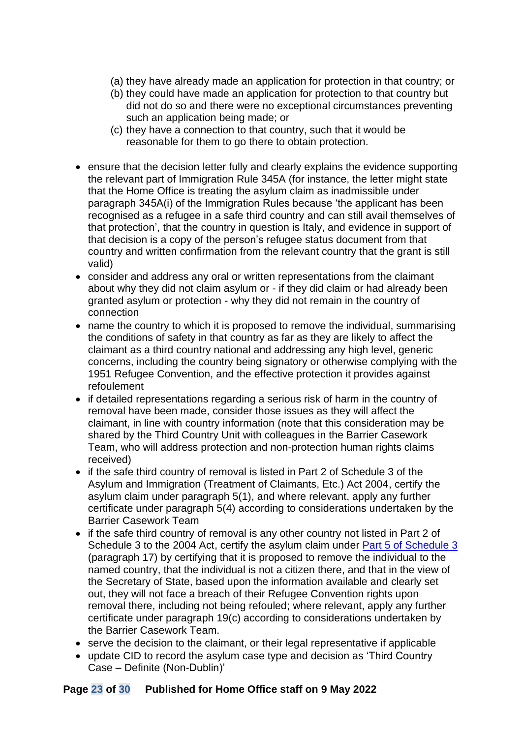- (a) they have already made an application for protection in that country; or
- (b) they could have made an application for protection to that country but did not do so and there were no exceptional circumstances preventing such an application being made; or
- (c) they have a connection to that country, such that it would be reasonable for them to go there to obtain protection.
- ensure that the decision letter fully and clearly explains the evidence supporting the relevant part of Immigration Rule 345A (for instance, the letter might state that the Home Office is treating the asylum claim as inadmissible under paragraph 345A(i) of the Immigration Rules because 'the applicant has been recognised as a refugee in a safe third country and can still avail themselves of that protection', that the country in question is Italy, and evidence in support of that decision is a copy of the person's refugee status document from that country and written confirmation from the relevant country that the grant is still valid)
- consider and address any oral or written representations from the claimant about why they did not claim asylum or - if they did claim or had already been granted asylum or protection - why they did not remain in the country of connection
- name the country to which it is proposed to remove the individual, summarising the conditions of safety in that country as far as they are likely to affect the claimant as a third country national and addressing any high level, generic concerns, including the country being signatory or otherwise complying with the 1951 Refugee Convention, and the effective protection it provides against refoulement
- if detailed representations regarding a serious risk of harm in the country of removal have been made, consider those issues as they will affect the claimant, in line with country information (note that this consideration may be shared by the Third Country Unit with colleagues in the Barrier Casework Team, who will address protection and non-protection human rights claims received)
- if the safe third country of removal is listed in Part 2 of Schedule 3 of the Asylum and Immigration (Treatment of Claimants, Etc.) Act 2004, certify the asylum claim under paragraph 5(1), and where relevant, apply any further certificate under paragraph 5(4) according to considerations undertaken by the Barrier Casework Team
- if the safe third country of removal is any other country not listed in Part 2 of Schedule 3 to the 2004 Act, certify the asylum claim under [Part 5 of Schedule 3](http://www.legislation.gov.uk/ukpga/2004/19/schedule/3/part/5) (paragraph 17) by certifying that it is proposed to remove the individual to the named country, that the individual is not a citizen there, and that in the view of the Secretary of State, based upon the information available and clearly set out, they will not face a breach of their Refugee Convention rights upon removal there, including not being refouled; where relevant, apply any further certificate under paragraph 19(c) according to considerations undertaken by the Barrier Casework Team.
- serve the decision to the claimant, or their legal representative if applicable
- update CID to record the asylum case type and decision as 'Third Country Case – Definite (Non-Dublin)'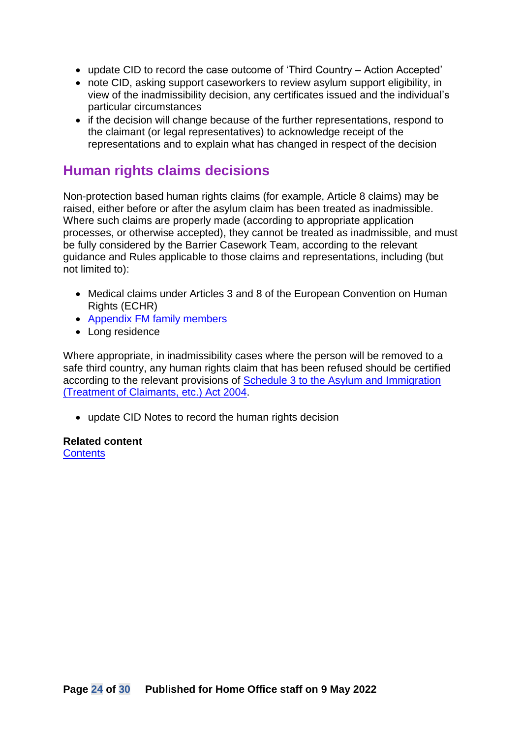- update CID to record the case outcome of 'Third Country Action Accepted'
- note CID, asking support caseworkers to review asylum support eligibility, in view of the inadmissibility decision, any certificates issued and the individual's particular circumstances
- if the decision will change because of the further representations, respond to the claimant (or legal representatives) to acknowledge receipt of the representations and to explain what has changed in respect of the decision

#### <span id="page-23-0"></span>**Human rights claims decisions**

Non-protection based human rights claims (for example, Article 8 claims) may be raised, either before or after the asylum claim has been treated as inadmissible. Where such claims are properly made (according to appropriate application processes, or otherwise accepted), they cannot be treated as inadmissible, and must be fully considered by the Barrier Casework Team, according to the relevant guidance and Rules applicable to those claims and representations, including (but not limited to):

- Medical claims under Articles 3 and 8 of the European Convention on Human Rights (ECHR)
- [Appendix FM family members](https://www.gov.uk/government/publications/chapter-8-appendix-fm-family-members)
- Long residence

Where appropriate, in inadmissibility cases where the person will be removed to a safe third country, any human rights claim that has been refused should be certified according to the relevant provisions of [Schedule 3 to the Asylum and Immigration](http://www.legislation.gov.uk/ukpga/2004/19/schedule/3)  [\(Treatment of Claimants, etc.\) Act 2004.](http://www.legislation.gov.uk/ukpga/2004/19/schedule/3)

• update CID Notes to record the human rights decision

#### **Related content [Contents](#page-1-0)**

**Page 24 of 30 Published for Home Office staff on 9 May 2022**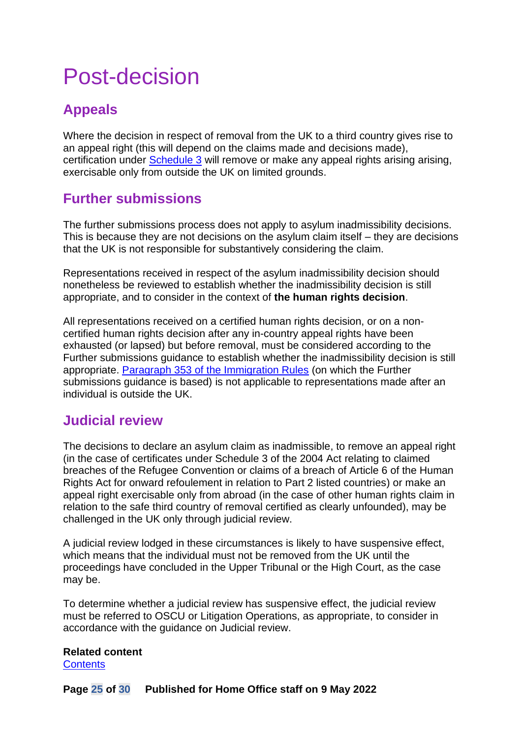## <span id="page-24-0"></span>Post-decision

## <span id="page-24-1"></span>**Appeals**

Where the decision in respect of removal from the UK to a third country gives rise to an appeal right (this will depend on the claims made and decisions made), certification under [Schedule 3](http://www.legislation.gov.uk/ukpga/2004/19/schedule/3/part/5) will remove or make any appeal rights arising arising, exercisable only from outside the UK on limited grounds.

### <span id="page-24-2"></span>**Further submissions**

The further submissions process does not apply to asylum inadmissibility decisions. This is because they are not decisions on the asylum claim itself – they are decisions that the UK is not responsible for substantively considering the claim.

Representations received in respect of the asylum inadmissibility decision should nonetheless be reviewed to establish whether the inadmissibility decision is still appropriate, and to consider in the context of **the human rights decision**.

All representations received on a certified human rights decision, or on a noncertified human rights decision after any in-country appeal rights have been exhausted (or lapsed) but before removal, must be considered according to the Further submissions guidance to establish whether the inadmissibility decision is still appropriate. [Paragraph 353 of the Immigration Rules](https://www.gov.uk/guidance/immigration-rules/immigration-rules-part-12-procedure-and-rights-of-appeal) (on which the Further submissions guidance is based) is not applicable to representations made after an individual is outside the UK.

#### <span id="page-24-3"></span>**Judicial review**

The decisions to declare an asylum claim as inadmissible, to remove an appeal right (in the case of certificates under Schedule 3 of the 2004 Act relating to claimed breaches of the Refugee Convention or claims of a breach of Article 6 of the Human Rights Act for onward refoulement in relation to Part 2 listed countries) or make an appeal right exercisable only from abroad (in the case of other human rights claim in relation to the safe third country of removal certified as clearly unfounded), may be challenged in the UK only through judicial review.

A judicial review lodged in these circumstances is likely to have suspensive effect, which means that the individual must not be removed from the UK until the proceedings have concluded in the Upper Tribunal or the High Court, as the case may be.

To determine whether a judicial review has suspensive effect, the judicial review must be referred to OSCU or Litigation Operations, as appropriate, to consider in accordance with the guidance on Judicial review.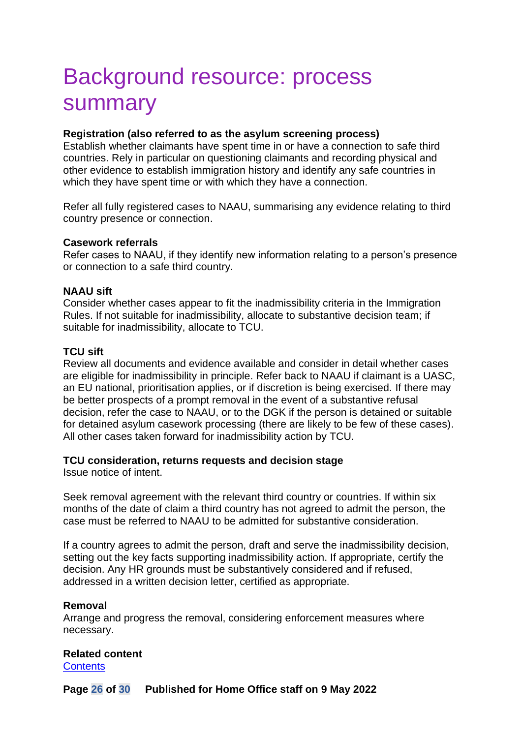## <span id="page-25-0"></span>Background resource: process summary

#### **Registration (also referred to as the asylum screening process)**

Establish whether claimants have spent time in or have a connection to safe third countries. Rely in particular on questioning claimants and recording physical and other evidence to establish immigration history and identify any safe countries in which they have spent time or with which they have a connection.

Refer all fully registered cases to NAAU, summarising any evidence relating to third country presence or connection.

#### **Casework referrals**

Refer cases to NAAU, if they identify new information relating to a person's presence or connection to a safe third country.

#### **NAAU sift**

Consider whether cases appear to fit the inadmissibility criteria in the Immigration Rules. If not suitable for inadmissibility, allocate to substantive decision team; if suitable for inadmissibility, allocate to TCU.

#### **TCU sift**

Review all documents and evidence available and consider in detail whether cases are eligible for inadmissibility in principle. Refer back to NAAU if claimant is a UASC, an EU national, prioritisation applies, or if discretion is being exercised. If there may be better prospects of a prompt removal in the event of a substantive refusal decision, refer the case to NAAU, or to the DGK if the person is detained or suitable for detained asylum casework processing (there are likely to be few of these cases). All other cases taken forward for inadmissibility action by TCU.

#### **TCU consideration, returns requests and decision stage**

Issue notice of intent.

Seek removal agreement with the relevant third country or countries. If within six months of the date of claim a third country has not agreed to admit the person, the case must be referred to NAAU to be admitted for substantive consideration.

If a country agrees to admit the person, draft and serve the inadmissibility decision, setting out the key facts supporting inadmissibility action. If appropriate, certify the decision. Any HR grounds must be substantively considered and if refused, addressed in a written decision letter, certified as appropriate.

#### **Removal**

Arrange and progress the removal, considering enforcement measures where necessary.

#### **Related content**

**[Contents](#page-1-0)**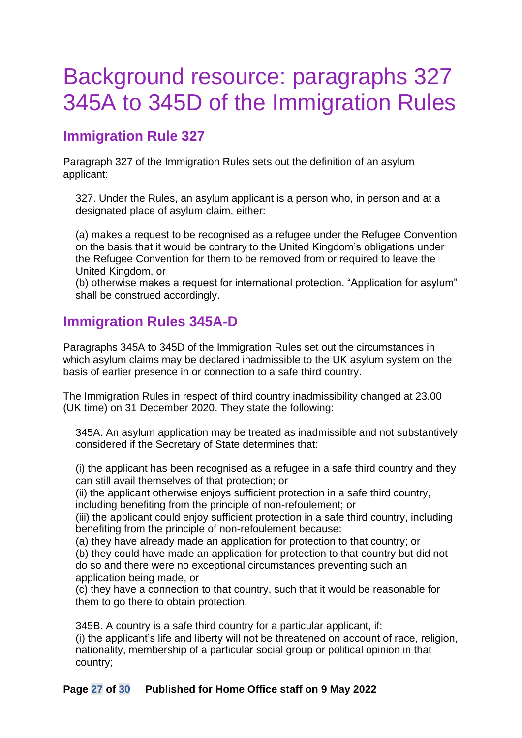## <span id="page-26-0"></span>Background resource: paragraphs 327 345A to 345D of the Immigration Rules

### **Immigration Rule 327**

Paragraph 327 of the Immigration Rules sets out the definition of an asylum applicant:

327. Under the Rules, an asylum applicant is a person who, in person and at a designated place of asylum claim, either:

(a) makes a request to be recognised as a refugee under the Refugee Convention on the basis that it would be contrary to the United Kingdom's obligations under the Refugee Convention for them to be removed from or required to leave the United Kingdom, or

(b) otherwise makes a request for international protection. "Application for asylum" shall be construed accordingly.

#### <span id="page-26-1"></span>**Immigration Rules 345A-D**

Paragraphs 345A to 345D of the Immigration Rules set out the circumstances in which asylum claims may be declared inadmissible to the UK asylum system on the basis of earlier presence in or connection to a safe third country.

The Immigration Rules in respect of third country inadmissibility changed at 23.00 (UK time) on 31 December 2020. They state the following:

345A. An asylum application may be treated as inadmissible and not substantively considered if the Secretary of State determines that:

(i) the applicant has been recognised as a refugee in a safe third country and they can still avail themselves of that protection; or

(ii) the applicant otherwise enjoys sufficient protection in a safe third country, including benefiting from the principle of non-refoulement; or

(iii) the applicant could enjoy sufficient protection in a safe third country, including benefiting from the principle of non-refoulement because:

(a) they have already made an application for protection to that country; or (b) they could have made an application for protection to that country but did not do so and there were no exceptional circumstances preventing such an application being made, or

(c) they have a connection to that country, such that it would be reasonable for them to go there to obtain protection.

345B. A country is a safe third country for a particular applicant, if: (i) the applicant's life and liberty will not be threatened on account of race, religion, nationality, membership of a particular social group or political opinion in that country;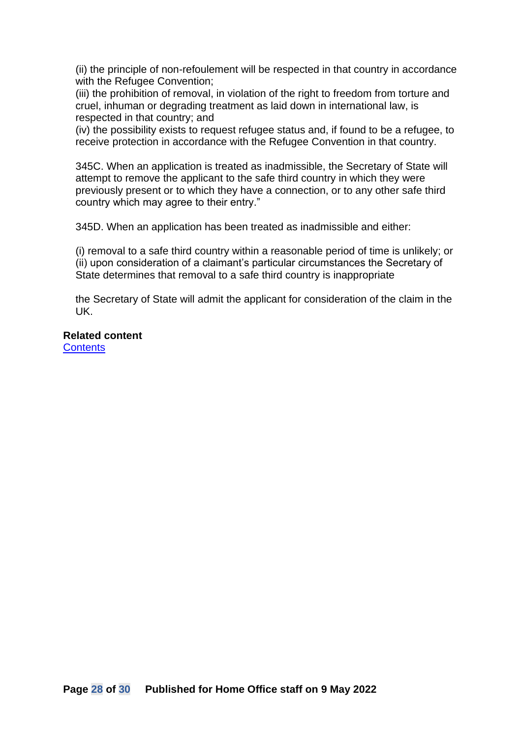(ii) the principle of non-refoulement will be respected in that country in accordance with the Refugee Convention;

(iii) the prohibition of removal, in violation of the right to freedom from torture and cruel, inhuman or degrading treatment as laid down in international law, is respected in that country; and

(iv) the possibility exists to request refugee status and, if found to be a refugee, to receive protection in accordance with the Refugee Convention in that country.

345C. When an application is treated as inadmissible, the Secretary of State will attempt to remove the applicant to the safe third country in which they were previously present or to which they have a connection, or to any other safe third country which may agree to their entry."

345D. When an application has been treated as inadmissible and either:

(i) removal to a safe third country within a reasonable period of time is unlikely; or (ii) upon consideration of a claimant's particular circumstances the Secretary of State determines that removal to a safe third country is inappropriate

the Secretary of State will admit the applicant for consideration of the claim in the UK.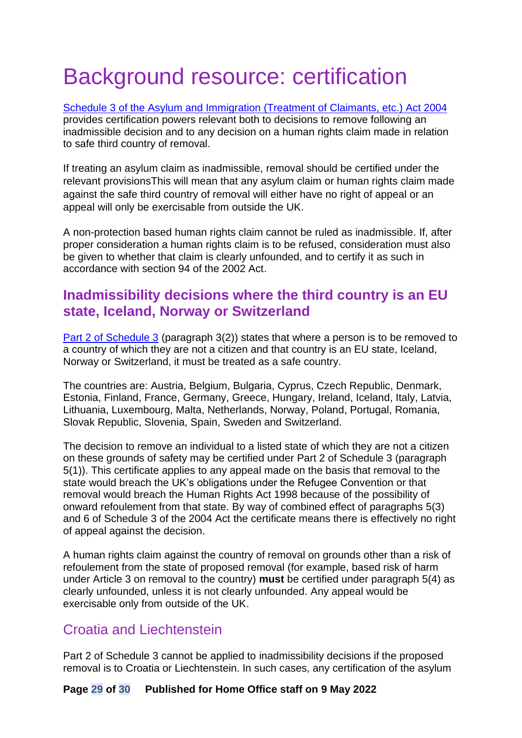# <span id="page-28-0"></span>Background resource: certification

[Schedule 3 of the Asylum and Immigration \(Treatment of Claimants, etc.\) Act 2004](http://www.legislation.gov.uk/ukpga/2004/19/schedule/3/part/2) provides certification powers relevant both to decisions to remove following an inadmissible decision and to any decision on a human rights claim made in relation to safe third country of removal.

If treating an asylum claim as inadmissible, removal should be certified under the relevant provisionsThis will mean that any asylum claim or human rights claim made against the safe third country of removal will either have no right of appeal or an appeal will only be exercisable from outside the UK.

A non-protection based human rights claim cannot be ruled as inadmissible. If, after proper consideration a human rights claim is to be refused, consideration must also be given to whether that claim is clearly unfounded, and to certify it as such in accordance with section 94 of the 2002 Act.

#### <span id="page-28-1"></span>**Inadmissibility decisions where the third country is an EU state, Iceland, Norway or Switzerland**

[Part 2 of Schedule 3](http://www.legislation.gov.uk/ukpga/2004/19/schedule/3/part/2) (paragraph 3(2)) states that where a person is to be removed to a country of which they are not a citizen and that country is an EU state, Iceland, Norway or Switzerland, it must be treated as a safe country.

The countries are: Austria, Belgium, Bulgaria, Cyprus, Czech Republic, Denmark, Estonia, Finland, France, Germany, Greece, Hungary, Ireland, Iceland, Italy, Latvia, Lithuania, Luxembourg, Malta, Netherlands, Norway, Poland, Portugal, Romania, Slovak Republic, Slovenia, Spain, Sweden and Switzerland.

The decision to remove an individual to a listed state of which they are not a citizen on these grounds of safety may be certified under Part 2 of Schedule 3 (paragraph 5(1)). This certificate applies to any appeal made on the basis that removal to the state would breach the UK's obligations under the Refugee Convention or that removal would breach the Human Rights Act 1998 because of the possibility of onward refoulement from that state. By way of combined effect of paragraphs 5(3) and 6 of Schedule 3 of the 2004 Act the certificate means there is effectively no right of appeal against the decision.

A human rights claim against the country of removal on grounds other than a risk of refoulement from the state of proposed removal (for example, based risk of harm under Article 3 on removal to the country) **must** be certified under paragraph 5(4) as clearly unfounded, unless it is not clearly unfounded. Any appeal would be exercisable only from outside of the UK.

#### <span id="page-28-2"></span>Croatia and Liechtenstein

Part 2 of Schedule 3 cannot be applied to inadmissibility decisions if the proposed removal is to Croatia or Liechtenstein. In such cases, any certification of the asylum

#### **Page 29 of 30 Published for Home Office staff on 9 May 2022**